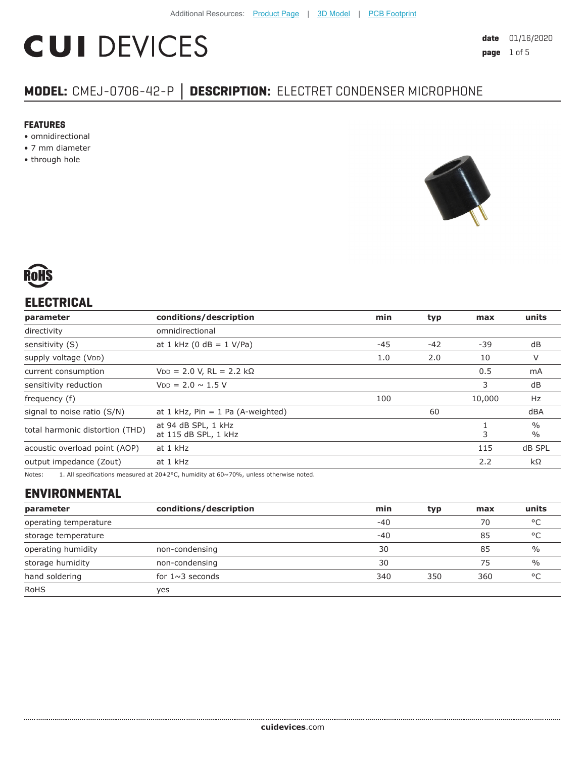# **CUI DEVICES**

# **MODEL:** CMEJ-0706-42-P **│ DESCRIPTION:** ELECTRET CONDENSER MICROPHONE

#### **FEATURES**

- omnidirectional
- 7 mm diameter
- through hole





# **ELECTRICAL**

| parameter                       | conditions/description                      | min   | typ   | max                            | units     |
|---------------------------------|---------------------------------------------|-------|-------|--------------------------------|-----------|
| directivity                     | omnidirectional                             |       |       |                                |           |
| sensitivity (S)                 | at 1 kHz (0 dB = $1$ V/Pa)                  | $-45$ | $-42$ | -39                            | dB        |
| supply voltage (VDD)            |                                             | 1.0   | 2.0   | 10                             | V         |
| current consumption             | $VDD = 2.0 V, RL = 2.2 k\Omega$             |       |       | 0.5                            | mA        |
| sensitivity reduction           | $V_{DD} = 2.0 \sim 1.5 V$                   |       |       | 3                              | dB        |
| frequency (f)                   |                                             | 100   |       | 10,000                         | Hz        |
| signal to noise ratio (S/N)     | at $1$ kHz, Pin = $1$ Pa (A-weighted)       | 60    |       |                                | dBA       |
| total harmonic distortion (THD) | at 94 dB SPL, 1 kHz<br>at 115 dB SPL, 1 kHz |       | 3     | $\frac{0}{0}$<br>$\frac{0}{0}$ |           |
| acoustic overload point (AOP)   | at 1 kHz<br>115                             |       |       | dB SPL                         |           |
| output impedance (Zout)         | at 1 kHz                                    |       |       | 2.2                            | $k\Omega$ |
|                                 |                                             |       |       |                                |           |

Notes: 1. All specifications measured at 20±2°C, humidity at 60~70%, unless otherwise noted.

# **ENVIRONMENTAL**

| parameter             | conditions/description | min   | typ | max | units         |
|-----------------------|------------------------|-------|-----|-----|---------------|
| operating temperature |                        | $-40$ |     | 70  | °C            |
| storage temperature   |                        | $-40$ |     | 85  | °C            |
| operating humidity    | non-condensing         | 30    |     | 85  | $\frac{0}{0}$ |
| storage humidity      | non-condensing         | 30    |     | 75  | $\frac{0}{0}$ |
| hand soldering        | for $1 \sim 3$ seconds | 340   | 350 | 360 | $^{\circ}$ C  |
| <b>RoHS</b>           | ves                    |       |     |     |               |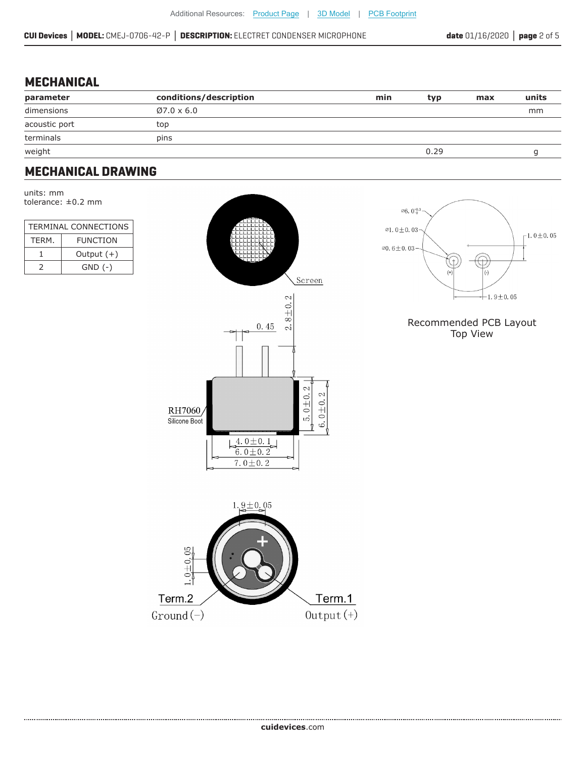## **MECHANICAL**

| parameter     | conditions/description | min | typ  | max | units |
|---------------|------------------------|-----|------|-----|-------|
| dimensions    | $\emptyset$ 7.0 x 6.0  |     |      |     | mm    |
| acoustic port | top                    |     |      |     |       |
| terminals     | pins                   |     |      |     |       |
| weight        |                        |     | 0.29 |     |       |

### **MECHANICAL DRAWING**

units: mm tolerance: ±0.2 mm

| <b>TERMINAL CONNECTIONS</b> |              |  |  |
|-----------------------------|--------------|--|--|
| <b>FUNCTION</b><br>TFRM.    |              |  |  |
|                             | Output $(+)$ |  |  |
| $\mathcal{L}$               | $GND$ $(-)$  |  |  |





#### Recommended PCB Layout Top View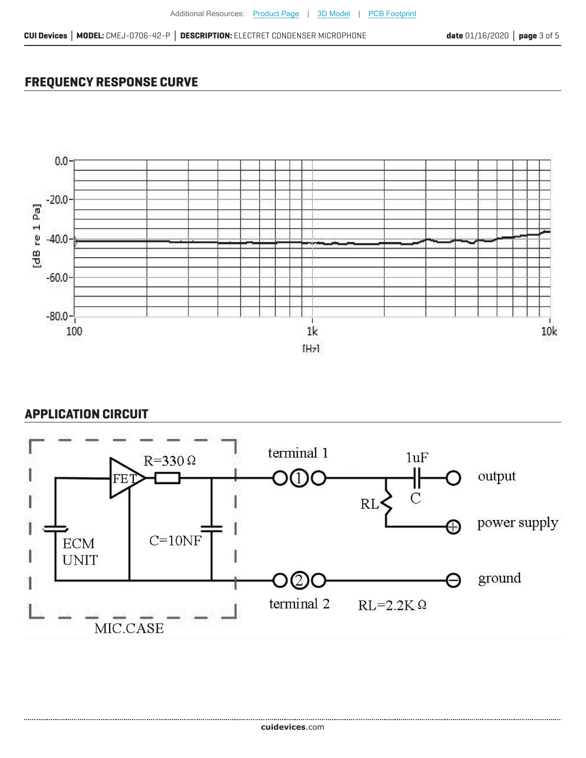# **FREQUENCY RESPONSE CURVE**



## **APPLICATION CIRCUIT**

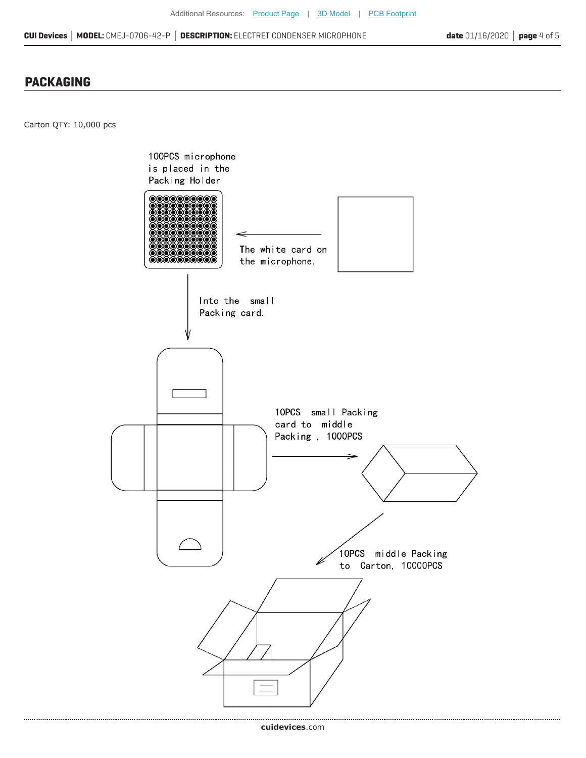#### **PACKAGING**

Carton QTY: 10,000 pcs